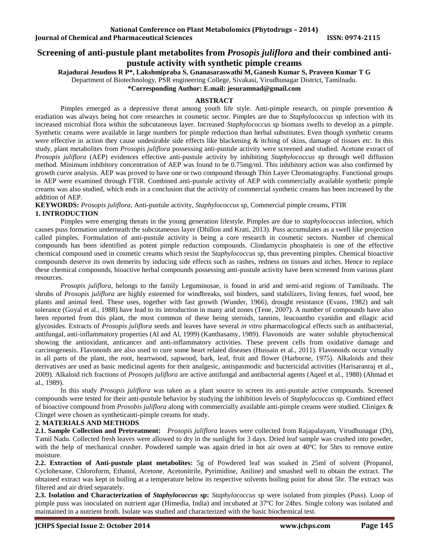# **Screening of anti-pustule plant metabolites from** *Prosopis juliflora* **and their combined antipustule activity with synthetic pimple creams**

**Rajadurai Jesudoss R P\*, Lakshmipraba S, Gnanasaraswathi M, Ganesh Kumar S, Praveen Kumar T G** 

Department of Biotechnology, PSR engineering College, Sivakasi, Virudhunagar District, Tamilnadu.

**\*Corresponding Author: E.mail: jesuramnad@gmail.com**

# **ABSTRACT**

Pimples emerged as a depressive threat among youth life style. Anti-pimple research, on pimple prevention & eradiation was always being hot core researches in cosmetic sector. Pimples are due to *Staphylococcus* sp infection with its increased microbial flora within the subcutaneous layer. Increased *Staphylococcus* sp biomass swells to develop as a pimple. Synthetic creams were available in large numbers for pimple reduction than herbal substitutes. Even though synthetic creams were effective in action they cause undesirable side effects like blackening  $\&$  itching of skins, damage of tissues etc. In this study, plant metabolites from *Prosopis juliflora* possessing anti-pustule activity were screened and studied. Acetone extract of *Prosopis juliflora* (AEP) evidences effective anti-pustule activity by inhibiting *Staphylococcus* sp through well diffusion method. Minimum inhibitory concentration of AEP was found to be 0.75mg/ml. This inhibitory action was also confirmed by growth curve analysis. AEP was proved to have one or two compound through Thin Layer Chromatography. Functional groups in AEP were examined through FTIR. Combined anti-pustule activity of AEP with commercially available synthetic pimple creams was also studied, which ends in a conclusion that the activity of commercial synthetic creams has been increased by the addition of AEP.

**KEYWORDS:** *Prosopis juliflora*, Anti-pustule activity, *Staphylococcus* sp*,* Commercial pimple creams, FTIR **1. INTRODUCTION**

Pimples were emerging threats in the young generation lifestyle. Pimples are due to *staphylococcus* infection, which causes puss formation underneath the subcutaneous layer (Dhillon and Krati, 2013). Puss accumulates as a swell like projection called pimples. Formulation of anti-pustule activity is being a core research in cosmetic sectors. Number of chemical compounds has been identified as potent pimple reduction compounds. Clindamycin phosphateis is one of the effective chemical compound used in cosmetic creams which resist the *Staphylococcus* sp, thus preventing pimples. Chemical bioactive compounds deserve its own demerits by inducing side effects such as rashes, redness on tissues and itches. Hence to replace these chemical compounds, bioactive herbal compounds possessing anti-pustule activity have been screened from various plant resources.

*Prosopis juliflora*, belongs to the family Leguminosae, is found in arid and semi-arid regions of Tamilnadu. The shrubs of *Prosopis juliflora* are highly esteemed for windbreaks, soil binders, sand stabilizers, living fences, fuel wood, bee plants and animal feed. These uses, together with fast growth (Wunder, 1966), drought resistance (Evans, 1982) and salt tolerance (Goyal et al., 1988) have lead to its introduction in many arid zones (Tene, 2007). A number of compounds have also been reported from this plant, the most common of these being steroids, tannins, leucoantho cyanidin and ellagic acid glycosides. Extracts of *Prosopis juliflora* seeds and leaves have several *in vitro* pharmacological effects such as antibacterial, antifungal, anti-inflammatory properties (Al and Al, 1999) (Kanthasamy, 1989). Flavonoids are water soluble phytochemical showing the antioxidant, anticancer and anti-inflammatory activities. These prevent cells from oxidative damage and carcinogenesis. Flavonoids are also used to cure some heart related diseases (Hussain et al., 2011). Flavonoids occur virtually in all parts of the plant, the root, heartwood, sapwood, bark, leaf, fruit and flower (Harborne, 1975). Alkaloids and their derivatives are used as basic medicinal agents for their analgesic, antispasmodic and bactericidal activities (Harisaranraj et al., 2009). Alkaloid rich fractions of *Prosopis juliflora* are active antifungal and antibacterial agents (Aqeel et al., 1988) (Ahmad et al., 1989).

In this study *Prosopis juliflora* was taken as a plant source to screen its anti-pustule active compounds. Screened compounds were tested for their anti-pustule behavior by studying the inhibition levels of *Staphylococcus* sp. Combined effect of bioactive compound from *Prosobis juliflora* along with commercially available anti-pimple creams were studied. Clinigex & Clingel were chosen as syntheticanti-pimple creams for study.

### **2. MATERIALS AND METHODS**

**2.1. Sample Collection and Pretreatment:** *Prosopis juliflora* leaves were collected from Rajapalayam, Virudhunagar (Dt), Tamil Nadu. Collected fresh leaves were allowed to dry in the sunlight for 3 days. Dried leaf sample was crushed into powder, with the help of mechanical crusher. Powdered sample was again dried in hot air oven at 40°C for 5hrs to remove entire moisture.

**2.2. Extraction of Anti-pustule plant metabolites:** 5g of Powdered leaf was soaked in 25ml of solvent (Propanol, Cyclohexane, Chloroform, Ethanol, Acetone, Acetonitrile, Pyrimidine, Aniline) and smashed well to obtain the extract. The obtained extract was kept in boiling at a temperature below its respective solvents boiling point for about 5hr. The extract was filtered and air dried separately.

**2.3. Isolation and Characterization of** *Staphylococcus* **sp:** *Staphylococcus* sp were isolated from pimples (Puss). Loop of pimple puss was inoculated on nutrient agar (Himedia, India) and incubated at 37ºC for 24hrs. Single colony was isolated and maintained in a nutrient broth. Isolate was studied and characterized with the basic biochemical test.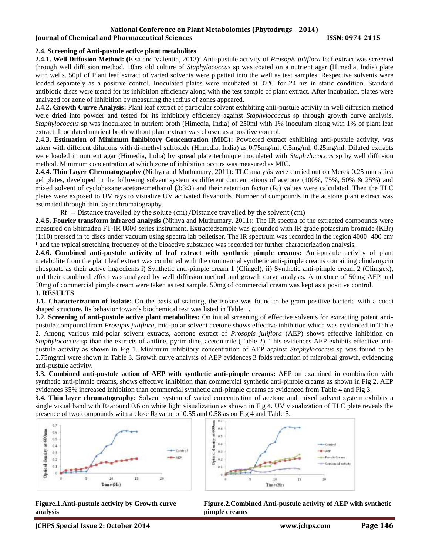# **National Conference on Plant Metabolomics (Phytodrugs – 2014)**

# **Iournal of Chemical and Pharmaceutical Sciences ISSN: 0974-2115**

### **2.4. Screening of Anti-pustule active plant metabolites**

**2.4.1. Well Diffusion Method: (**Elsa and Valentin*,* 2013): Anti-pustule activity of *Prosopis juliflora* leaf extract was screened through well diffusion method. 18hrs old culture of *Staphylococcus* sp was coated on a nutrient agar (Himedia, India) plate with wells. 50µl of Plant leaf extract of varied solvents were pipetted into the well as test samples. Respective solvents were loaded separately as a positive control. Inoculated plates were incubated at 37ºC for 24 hrs in static condition. Standard antibiotic discs were tested for its inhibition efficiency along with the test sample of plant extract. After incubation, plates were analyzed for zone of inhibition by measuring the radius of zones appeared.

**2.4.2. Growth Curve Analysis:** Plant leaf extract of particular solvent exhibiting anti-pustule activity in well diffusion method were dried into powder and tested for its inhibitory efficiency against *Staphylococcus* sp through growth curve analysis. *Staphylococcus* sp was inoculated in nutrient broth (Himedia, India) of 250ml with 1% inoculum along with 1% of plant leaf extract. Inoculated nutrient broth without plant extract was chosen as a positive control.

**2.4.3. Estimation of Minimum Inhibitory Concentration (MIC):** Powdered extract exhibiting anti-pustule activity, was taken with different dilutions with di-methyl sulfoxide (Himedia, India) as 0.75mg/ml, 0.5mg/ml, 0.25mg/ml. Diluted extracts were loaded in nutrient agar (Himedia, India) by spread plate technique inoculated with *Staphylococcus* sp by well diffusion method. Minimum concentration at which zone of inhibition occurs was measured as MIC.

**2.4.4. Thin Layer Chromatography** (Nithya and Muthumary, 2011): TLC analysis were carried out on Merck 0.25 mm silica gel plates, developed in the following solvent system as different concentrations of acetone (100%, 75%, 50% & 25%) and mixed solvent of cyclohexane:acetone:methanol (3:3:3) and their retention factor  $(R_f)$  values were calculated. Then the TLC plates were exposed to UV rays to visualize UV activated flavanoids. Number of compounds in the acetone plant extract was estimated through thin layer chromatography.

 $Rf =$  Distance travelled by the solute (cm)/Distance travelled by the solvent (cm)

**2.4.5. Fourier transform infrared analysis** (Nithya and Muthumary, 2011): The IR spectra of the extracted compounds were measured on Shimadzu FT-IR 8000 series instrument. Extractedsample was grounded with IR grade potassium bromide (KBr)  $(1:10)$  pressed in to discs under vacuum using spectra lab pelletiser. The IR spectrum was recorded in the region 4000–400 cm<sup>-</sup> 1 and the typical stretching frequency of the bioactive substance was recorded for further characterization analysis.

**2.4.6. Combined anti-pustule activity of leaf extract with synthetic pimple creams:** Anti-pustule activity of plant metabolite from the plant leaf extract was combined with the commercial synthetic anti-pimple creams containing clindamycin phosphate as their active ingredients i) Synthetic anti-pimple cream 1 (Clingel), ii) Synthetic anti-pimple cream 2 (Clinigex), and their combined effect was analyzed by well diffusion method and growth curve analysis. A mixture of 50mg AEP and 50mg of commercial pimple cream were taken as test sample. 50mg of commercial cream was kept as a positive control. **3. RESULTS** 

**3.1. Characterization of isolate:** On the basis of staining, the isolate was found to be gram positive bacteria with a cocci shaped structure. Its behavior towards biochemical test was listed in Table 1.

**3.2. Screening of anti-pustule active plant metabolites:** On initial screening of effective solvents for extracting potent antipustule compound from *Prosopis juliflora*, mid-polar solvent acetone shows effective inhibition which was evidenced in Table 2. Among various mid-polar solvent extracts, acetone extract of *Prosopis juliflora* (AEP) shows effective inhibition on *Staphylococcus sp* than the extracts of aniline, pyrimidine, acetonitrile (Table 2). This evidences AEP exhibits effective antipustule activity as shown in Fig 1. Minimum inhibitory concentration of AEP against *Staphylococcus* sp was found to be 0.75mg/ml were shown in Table 3. Growth curve analysis of AEP evidences 3 folds reduction of microbial growth, evidencing anti-pustule activity.

**3.3. Combined anti-pustule action of AEP with synthetic anti-pimple creams:** AEP on examined in combination with synthetic anti-pimple creams, shows effective inhibition than commercial synthetic anti-pimple creams as shown in Fig 2. AEP evidences 35% increased inhibition than commercial synthetic anti-pimple creams as evidenced from Table 4 and Fig 3.

**3.4. Thin layer chromatography:** Solvent system of varied concentration of acetone and mixed solvent system exhibits a single visual band with  $R_f$  around 0.6 on white light visualization as shown in Fig 4. UV visualization of TLC plate reveals the presence of two compounds with a close  $R_f$  value of 0.55 and 0.58 as on Fig 4 and Table 5.





**Figure.1.Anti-pustule activity by Growth curve analysis**

**Figure.2.Combined Anti-pustule activity of AEP with synthetic pimple creams**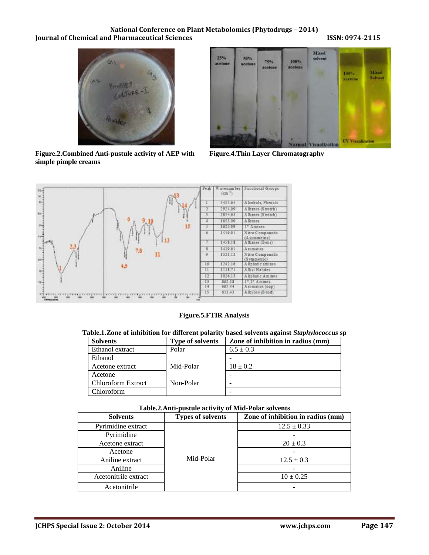# **National Conference on Plant Metabolomics (Phytodrugs – 2014) Journal of Chemical and Pharmaceutical Sciences ISSN: 0974-2115**



**Figure.2.Combined Anti-pustule activity of AEP with simple pimple creams**



**Figure.4.Thin Layer Chromatography**



**Figure.5.FTIR Analysis**

|  | Table.1.Zone of inhibition for different polarity based solvents against Staphylococcus sp |  |
|--|--------------------------------------------------------------------------------------------|--|
|  |                                                                                            |  |

| <b>Solvents</b>           | <b>Type of solvents</b> | Zone of inhibition in radius (mm) |  |
|---------------------------|-------------------------|-----------------------------------|--|
| Ethanol extract           | Polar                   | $6.5 \pm 0.3$                     |  |
| Ethanol                   |                         |                                   |  |
| Acetone extract           | Mid-Polar               | $18 \pm 0.2$                      |  |
| Acetone                   |                         |                                   |  |
| <b>Chloroform Extract</b> | Non-Polar               |                                   |  |
| Chloroform                |                         |                                   |  |

| Table.2.Alttr-pusture activity of Milu-I blat solvents |                          |                                   |  |  |
|--------------------------------------------------------|--------------------------|-----------------------------------|--|--|
| <b>Solvents</b>                                        | <b>Types of solvents</b> | Zone of inhibition in radius (mm) |  |  |
| Pyrimidine extract                                     | Mid-Polar                | $12.5 \pm 0.33$                   |  |  |
| Pyrimidine                                             |                          |                                   |  |  |
| Acetone extract                                        |                          | $20 \pm 0.3$                      |  |  |
| Acetone                                                |                          |                                   |  |  |
| Aniline extract                                        |                          | $12.5 \pm 0.3$                    |  |  |
| Aniline                                                |                          |                                   |  |  |
| Acetonitrile extract                                   |                          | $10 \pm 0.25$                     |  |  |
| Acetonitrile                                           |                          |                                   |  |  |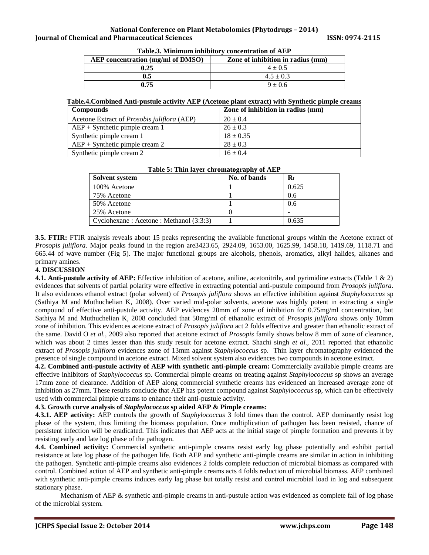| AEP concentration (mg/ml of DMSO) | Zone of inhibition in radius (mm) |  |
|-----------------------------------|-----------------------------------|--|
| 0.25                              | $4 \pm 0.5$                       |  |
| $0.5\,$                           | $4.5 \pm 0.3$                     |  |
| 0.75                              | $9 + 0.6$                         |  |

**Table.3. Minimum inhibitory concentration of AEP**

### **Table.4.Combined Anti-pustule activity AEP (Acetone plant extract) with Synthetic pimple creams**

| <b>Compounds</b>                            | Zone of inhibition in radius (mm) |  |
|---------------------------------------------|-----------------------------------|--|
| Acetone Extract of Prosobis juliflora (AEP) | $20 \pm 0.4$                      |  |
| $AEP + Synthetic$ pimple cream 1            | $26 \pm 0.3$                      |  |
| Synthetic pimple cream 1                    | $18 \pm 0.35$                     |  |
| $AEP + Synthetic$ pimple cream 2            | $28 \pm 0.3$                      |  |
| Synthetic pimple cream 2                    | $16 \pm 0.4$                      |  |

| Solvent system                           | No. of bands | $\mathbf{R}_{\mathbf{f}}$ |
|------------------------------------------|--------------|---------------------------|
| 100% Acetone                             |              | 0.625                     |
| 75% Acetone                              |              | 0.6                       |
| 50% Acetone                              |              | 0.6                       |
| 25% Acetone                              |              |                           |
| Cyclohexane : Acetone : Methanol (3:3:3) |              | 0.635                     |

#### **Table 5: Thin layer chromatography of AEP**

**3.5. FTIR:** FTIR analysis reveals about 15 peaks representing the available functional groups within the Acetone extract of *Prosopis juliflora*. Major peaks found in the region are3423.65, 2924.09, 1653.00, 1625.99, 1458.18, 1419.69, 1118.71 and 665.44 of wave number (Fig 5). The major functional groups are alcohols, phenols, aromatics, alkyl halides, alkanes and primary amines.

# **4. DISCUSSION**

**4.1. Anti-pustule activity of AEP:** Effective inhibition of acetone, aniline, acetonitrile, and pyrimidine extracts (Table 1 & 2) evidences that solvents of partial polarity were effective in extracting potential anti-pustule compound from *Prosopis juliflora*. It also evidences ethanol extract (polar solvent) of *Prosopis juliflora* shows an effective inhibition against *Staphylococcus* sp (Sathiya M and Muthuchelian K, 2008). Over varied mid-polar solvents, acetone was highly potent in extracting a single compound of effective anti-pustule activity. AEP evidences 20mm of zone of inhibition for 0.75mg/ml concentration, but Sathiya M and Muthuchelian K, 2008 concluded that 50mg/ml of ethanolic extract of *Prosopis juliflora* shows only 10mm zone of inhibition. This evidences acetone extract of *Prosopis juliflora* act 2 folds effective and greater than ethanolic extract of the same. David O *et al.,* 2009 also reported that acetone extract of *Prosopis* family shows below 8 mm of zone of clearance, which was about 2 times lesser than this study result for acetone extract. Shachi singh *et al.,* 2011 reported that ethanolic extract of *Prosopis juliflora* evidences zone of 13mm against *Staphylococcus* sp. Thin layer chromatography evidenced the presence of single compound in acetone extract. Mixed solvent system also evidences two compounds in acetone extract.

**4.2. Combined anti-pustule activity of AEP with synthetic anti-pimple cream:** Commercially available pimple creams are effective inhibitors of *Staphylococcus* sp. Commercial pimple creams on treating against *Staphylococcus* sp shows an average 17mm zone of clearance. Addition of AEP along commercial synthetic creams has evidenced an increased average zone of inhibition as 27mm. These results conclude that AEP has potent compound against *Staphylococcus* sp, which can be effectively used with commercial pimple creams to enhance their anti-pustule activity.

# **4.3. Growth curve analysis of** *Staphylococcus* **sp aided AEP & Pimple creams:**

**4.3.1. AEP activity:** AEP controls the growth of *Staphylococcus* 3 fold times than the control. AEP dominantly resist log phase of the system, thus limiting the biomass population. Once multiplication of pathogen has been resisted, chance of persistent infection will be eradicated. This indicates that AEP acts at the initial stage of pimple formation and prevents it by resisting early and late log phase of the pathogen.

**4.4. Combined activity:** Commercial synthetic anti-pimple creams resist early log phase potentially and exhibit partial resistance at late log phase of the pathogen life. Both AEP and synthetic anti-pimple creams are similar in action in inhibiting the pathogen. Synthetic anti-pimple creams also evidences 2 folds complete reduction of microbial biomass as compared with control. Combined action of AEP and synthetic anti-pimple creams acts 4 folds reduction of microbial biomass. AEP combined with synthetic anti-pimple creams induces early lag phase but totally resist and control microbial load in log and subsequent stationary phase.

Mechanism of AEP & synthetic anti-pimple creams in anti-pustule action was evidenced as complete fall of log phase of the microbial system.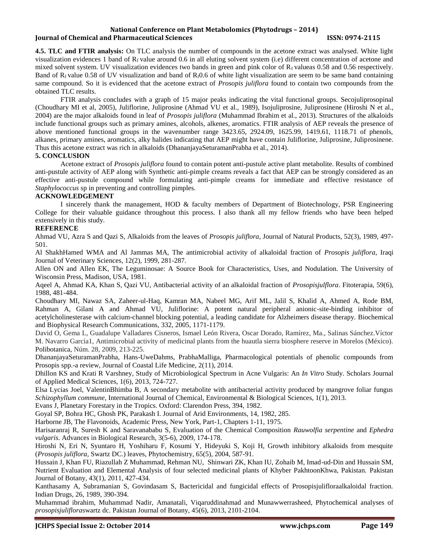### **National Conference on Plant Metabolomics (Phytodrugs – 2014) Iournal of Chemical and Pharmaceutical Sciences ISSN: 0974-2115**

**4.5. TLC and FTIR analysis:** On TLC analysis the number of compounds in the acetone extract was analysed. White light visualization evidences 1 band of  $R_f$  value around 0.6 in all eluting solvent system (i.e) different concentration of acetone and mixed solvent system. UV visualization evidences two bands in green and pink color of  $R_f$  valueas 0.58 and 0.56 respectively. Band of  $R_f$  value 0.58 of UV visualization and band of  $R_f0.6$  of white light visualization are seem to be same band containing same compound. So it is evidenced that the acetone extract of *Prosopis juliflora* found to contain two compounds from the obtained TLC results.

FTIR analysis concludes with a graph of 15 major peaks indicating the vital functional groups. Secojuliprosopinal (Choudhary MI et al, 2005), Juliflorine, Juliprosine (Ahmad VU et al., 1989), Isojuliprosine, Juliprosinene (Hiroshi N et al., 2004) are the major alkaloids found in leaf of *Prosopis juliflora* (Muhammad Ibrahim et al., 2013). Structures of the alkaloids include functional groups such as primary amines, alcohols, alkenes, aromatics. FTIR analysis of AEP reveals the presence of above mentioned functional groups in the wavenumber range 3423.65, 2924.09, 1625.99, 1419.61, 1118.71 of phenols, alkanes, primary amines, aromatics, alky halides indicating that AEP might have contain Juliflorine, Juliprosine, Juliprosinene. Thus this acetone extract was rich in alkaloids (DhananjayaSeturamanPrabha et al., 2014).

## **5. CONCLUSION**

Acetone extract of *Prosopis juliflora* found to contain potent anti-pustule active plant metabolite. Results of combined anti-pustule activity of AEP along with Synthetic anti-pimple creams reveals a fact that AEP can be strongly considered as an effective anti-pustule compound while formulating anti-pimple creams for immediate and effective resistance of *Staphylococcus* sp in preventing and controlling pimples.

# **ACKNOWLEDGEMENT**

I sincerely thank the management, HOD & faculty members of Department of Biotechnology, PSR Engineering College for their valuable guidance throughout this process. I also thank all my fellow friends who have been helped extensively in this study.

# **REFERENCE**

Ahmad VU, Azra S and Qazi S, Alkaloids from the leaves of *Prosopis juliflora*, Journal of Natural Products, 52(3), 1989, 497- 501.

Al ShakhHamed WMA and Al Jammas MA, The antimicrobial activity of alkaloidal fraction of *Prosopis juliflora*, Iraqi Journal of Veterinary Sciences, 12(2), 1999, 281-287.

Allen ON and Allen EK, The Leguminosae: A Source Book for Characteristics, Uses, and Nodulation. The University of Wisconsin Press, Madison, USA, 1981.

Aqeel A, Ahmad KA, Khan S, Qazi VU, Antibacterial activity of an alkaloidal fraction of *Prosopisjulflora*. Fitoterapia, 59(6), 1988, 481-484.

Choudhary MI, Nawaz SA, Zaheer-ul-Haq, Kamran MA, Nabeel MG, Arif ML, Jalil S, Khalid A, Ahmed A, Rode BM, Rahman A, Gilani A and Ahmad VU, Juliflorine: A potent natural peripheral anionic-site-binding inhibitor of acetylcholinesterase with calcium-channel blocking potential, a leading candidate for Alzheimers disease therapy. Biochemical and Biophysical Research Communications*,* 332, 2005, 1171-1179.

David O, Gema L, Guadalupe Valladares Cisneros, Ismael León Rivera, Oscar Dorado, Ramírez, Ma., Salinas Sánchez.Víctor M. Navarro García1, Antimicrobial activity of medicinal plants from the huautla sierra biosphere reserve in Morelos (México). Polibotanica, Núm. 28, 2009, 213-225.

DhananjayaSeturamanPrabha, Hans-UweDahms, PrabhaMalliga, Pharmacological potentials of phenolic compounds from Prosopis spp.-a review, Journal of Coastal Life Medicine, 2(11), 2014.

Dhillon KS and Krati R Varshney, Study of Microbiological Spectrum in Acne Vulgaris: An *In Vitro* Study. Scholars Journal of Applied Medical Sciences, 1(6), 2013, 724-727.

Elsa Lycias Joel, ValentinBhimba B, A secondary metabolite with antibacterial activity produced by mangrove foliar fungus *Schizophyllum commune*, International Journal of Chemical, Environmental & Biological Sciences, 1(1), 2013.

Evans J, Planetary Forestary in the Tropics. Oxford: Clarendon Press, 394, 1982.

Goyal SP, Bohra HC, Ghosh PK, Parakash I. Journal of Arid Environments, 14, 1982, 285.

Harborne JB, The Flavonoids, Academic Press, New York, Part-1, Chapters 1-11, 1975.

Harisaranraj R, Suresh K and Saravanababu S, Evaluation of the Chemical Composition *Rauwolfia serpentine* and *Ephedra vulgaris*. Advances in Biological Research*,* 3(5-6), 2009, 174-178.

Hiroshi N, Eri N, Syuntaro H, Yoshiharu F, Kosumi Y, Hideyuki S, Koji H, Growth inhibitory alkaloids from mesquite (*Prosopis juliflora,* Swartz DC.) leaves, Phytochemistry, 65(5), 2004, 587-91.

Hussain J, Khan FU, Riazullah Z Muhammad, Rehman NU, Shinwari ZK, Khan IU, Zohaib M, Imad-ud-Din and Hussain SM, Nutrient Evaluation and Elemental Analysis of four selected medicinal plants of Khyber PakhtoonKhwa, Pakistan. Pakistan Journal of Botany, 43(1), 2011, 427-434.

Kanthasamy A, Subramanian S, Govindasam S, Bactericidal and fungicidal effects of Prosopisjulifloraalkaloidal fraction. Indian Drugs, 26, 1989, 390-394.

Muhammad ibrahim, Muhammad Nadir, Amanatali, Viqaruddinahmad and Munawwerrasheed, Phytochemical analyses of *prosopisjuliflora*swartz dc. Pakistan Journal of Botany, 45(6), 2013, 2101-2104.